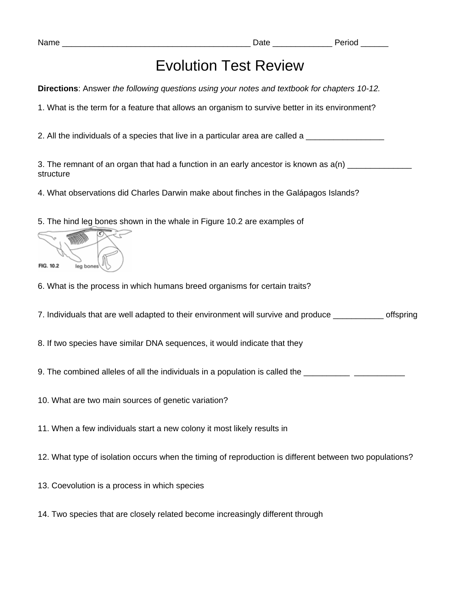Name **Name Name Name Name Name Name Name** *Name Name Name Name Name Name Name Name Name Name Name Name Name Name Name Name Name Name Name* 

## Evolution Test Review

**Directions**: Answer *the following questions using your notes and textbook for chapters 10-12.*

1. What is the term for a feature that allows an organism to survive better in its environment?

2. All the individuals of a species that live in a particular area are called a \_\_\_\_\_\_\_\_\_\_\_\_\_\_\_\_\_\_\_\_

3. The remnant of an organ that had a function in an early ancestor is known as  $a(n)$ structure

4. What observations did Charles Darwin make about finches in the Galápagos Islands?

5. The hind leg bones shown in the whale in Figure 10.2 are examples of

| FIG. 10.2 | leg bones |  |
|-----------|-----------|--|

6. What is the process in which humans breed organisms for certain traits?

7. Individuals that are well adapted to their environment will survive and produce \_\_\_\_\_\_\_\_\_\_\_ offspring

8. If two species have similar DNA sequences, it would indicate that they

9. The combined alleles of all the individuals in a population is called the \_\_\_\_\_\_\_\_\_\_\_\_\_\_\_\_\_\_\_\_\_\_\_\_\_\_\_\_\_\_\_\_\_

10. What are two main sources of genetic variation?

11. When a few individuals start a new colony it most likely results in

12. What type of isolation occurs when the timing of reproduction is different between two populations?

13. Coevolution is a process in which species

14. Two species that are closely related become increasingly different through